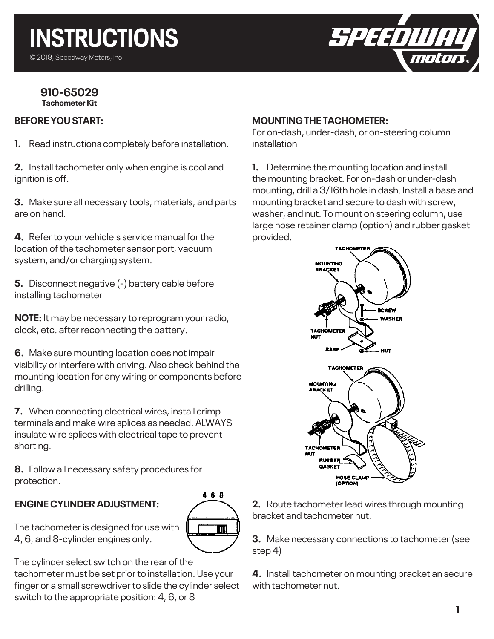

#### **910-65029 Tachometer Kit**

### **BEFORE YOU START:**

**1.** Read instructions completely before installation.

**2.** Install tachometer only when engine is cool and ignition is off.

**3.** Make sure all necessary tools, materials, and parts are on hand.

**4.** Refer to your vehicle's service manual for the location of the tachometer sensor port, vacuum system, and/or charging system.

**5.** Disconnect negative (-) battery cable before installing tachometer

**NOTE:** It may be necessary to reprogram your radio, clock, etc. after reconnecting the battery.

**6.** Make sure mounting location does not impair visibility or interfere with driving. Also check behind the mounting location for any wiring or components before drilling.

**7.** When connecting electrical wires, install crimp terminals and make wire splices as needed. ALWAYS insulate wire splices with electrical tape to prevent shorting.

**8.** Follow all necessary safety procedures for protection.

# **ENGINE CYLINDER ADJUSTMENT:**



The tachometer is designed for use with 4, 6, and 8-cylinder engines only.

The cylinder select switch on the rear of the tachometer must be set prior to installation. Use your finger or a small screwdriver to slide the cylinder select switch to the appropriate position: 4, 6, or 8

#### **MOUNTING THE TACHOMETER:**

For on-dash, under-dash, or on-steering column installation

**1.** Determine the mounting location and install the mounting bracket. For on-dash or under-dash mounting, drill a 3/16th hole in dash. Install a base and mounting bracket and secure to dash with screw, washer, and nut. To mount on steering column, use large hose retainer clamp (option) and rubber gasket provided.



**2.** Route tachometer lead wires through mounting bracket and tachometer nut.

**3.** Make necessary connections to tachometer (see step 4)

**4.** Install tachometer on mounting bracket an secure with tachometer nut.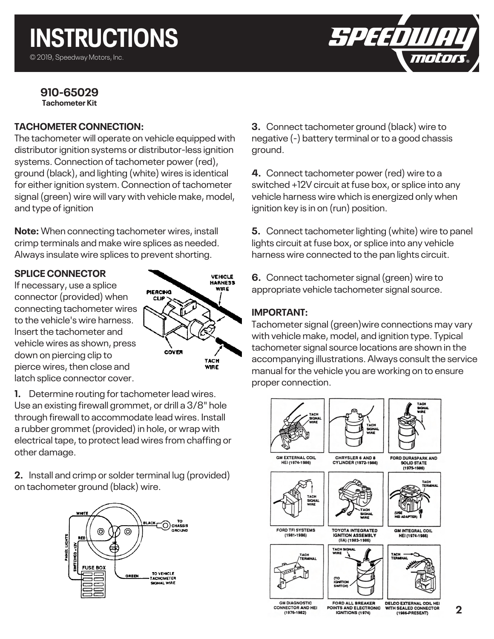SPEEDIUL *molo* 

#### **910-65029 Tachometer Kit**

## **TACHOMETER CONNECTION:**

The tachometer will operate on vehicle equipped with distributor ignition systems or distributor-less ignition systems. Connection of tachometer power (red), ground (black), and lighting (white) wires is identical for either ignition system. Connection of tachometer signal (green) wire will vary with vehicle make, model, and type of ignition

**Note:** When connecting tachometer wires, install crimp terminals and make wire splices as needed. Always insulate wire splices to prevent shorting.

### **SPLICE CONNECTOR**

If necessary, use a splice connector (provided) when connecting tachometer wires to the vehicle's wire harness. Insert the tachometer and vehicle wires as shown, press down on piercing clip to pierce wires, then close and latch splice connector cover.



**1.** Determine routing for tachometer lead wires. Use an existing firewall grommet, or drill a 3/8" hole through firewall to accommodate lead wires. Install a rubber grommet (provided) in hole, or wrap with electrical tape, to protect lead wires from chaffing or other damage.

**2.** Install and crimp or solder terminal lug (provided) on tachometer ground (black) wire.



**3.** Connect tachometer ground (black) wire to negative (-) battery terminal or to a good chassis ground.

**4.** Connect tachometer power (red) wire to a switched +12V circuit at fuse box, or splice into any vehicle harness wire which is energized only when ignition key is in on (run) position.

**5.** Connect tachometer lighting (white) wire to panel lights circuit at fuse box, or splice into any vehicle harness wire connected to the pan lights circuit.

**6.** Connect tachometer signal (green) wire to appropriate vehicle tachometer signal source.

## **IMPORTANT:**

Tachometer signal (green)wire connections may vary with vehicle make, model, and ignition type. Typical tachometer signal source locations are shown in the accompanying illustrations. Always consult the service manual for the vehicle you are working on to ensure proper connection.

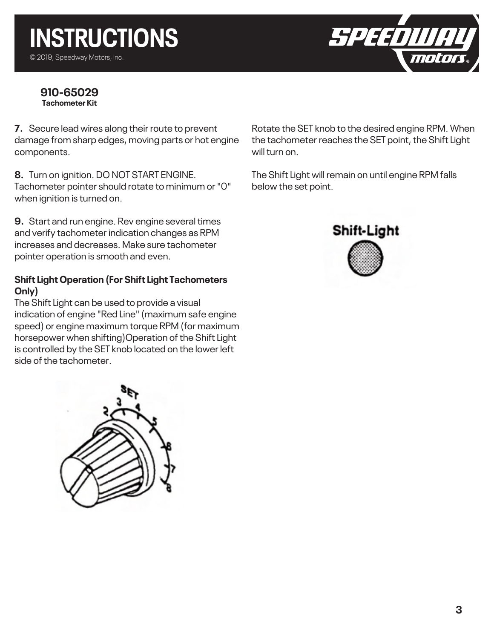#### **910-65029 Tachometer Kit**

**7.** Secure lead wires along their route to prevent damage from sharp edges, moving parts or hot engine components.

**8.** Turn on ignition. DO NOT START ENGINE. Tachometer pointer should rotate to minimum or "0" when ignition is turned on.

**9.** Start and run engine. Rev engine several times and verify tachometer indication changes as RPM increases and decreases. Make sure tachometer pointer operation is smooth and even.

## **Shift Light Operation (For Shift Light Tachometers Only)**

The Shift Light can be used to provide a visual indication of engine "Red Line" (maximum safe engine speed) or engine maximum torque RPM (for maximum horsepower when shifting)Operation of the Shift Light is controlled by the SET knob located on the lower left side of the tachometer.



Rotate the SET knob to the desired engine RPM. When the tachometer reaches the SET point, the Shift Light will turn on.

SPEEDI

The Shift Light will remain on until engine RPM falls below the set point.